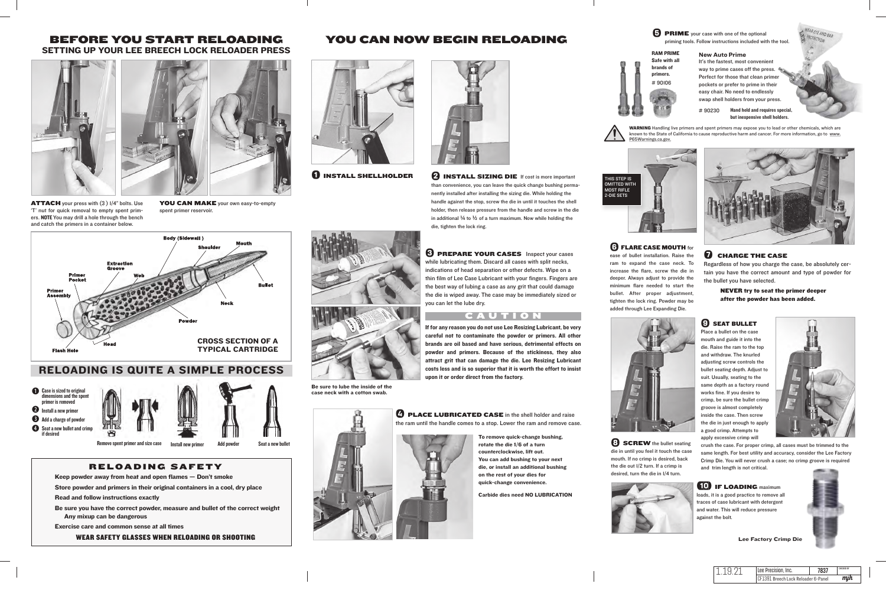

# RELOADING IS QUITE A SIMPLE PROCESS

**the Case is sized to original** nensions and the spent nrimer is removed **O** Install a new primer **a** Add a charge of powder Seat a new bullet and crimp if desired



Remove spent primer and size case Install new primer Add powder Seat a new bullet

**ATTACH** your press with (3)  $1/4$ " bolts. Use 'T' nut for quick removal to empty spent primers. NOTE You may drill a hole through the bench and catch the primers in a container below.

YOU CAN MAKE your own easy-to-empty spent primer reservoir.

# BEFORE YOU START RELOADING SETTING UP YOUR LEE BREECH LOCK RELOADER PRESS

# RELOADING SAFETY

Keep powder away from heat and open flames — Don't smoke

**O** INSTALL SHELLHOLDER **Solution C** INSTALL SIZING DIE If cost is more important than convenience, you can leave the quick change bushing permanently installed after installing the sizing die. While holding the handle against the stop, screw the die in until it touches the shell holder, then release pressure from the handle and screw in the die in additional  $\frac{1}{4}$  to  $\frac{1}{2}$  of a turn maximum. Now while holding the die, tighten the lock ring.

Store powder and primers in their original containers in a cool, dry place

Read and follow instructions exactly

Be sure you have the correct powder, measure and bullet of the correct weight Any mixup can be dangerous

Exercise care and common sense at all times

WEAR SAFETY GLASSES WHEN RELOADING OR SHOOTING



YOU CAN NOW BEGIN RELOADING

*SCREW* the bullet seating die in until you feel it touch the case mouth. If no crimp is desired, back the die out 1/2 turn. If a crimp is desired, turn the die in 1/4 turn.





## *Q* CHARGE THE CASE

the ram until the handle comes to a stop. Lower the ram and remove case.

**(10)** IF LOADING maximum loads, it is a good practice to remove all traces of case lubricant with detergent and water. This will reduce pressure against the bolt.

Hand held and requires special, but inexpensive shell holders.  $\pm$  90230





quick-change convenience.

Carbide dies need NO LUBRICATION



case neck with a cotton swab.



## **➌** PREPARE YOUR CASES Inspect your cases while lubricating them. Discard all cases with split necks, indications of head separation or other defects. Wipe on a thin film of Lee Case Lubricant with your fingers. Fingers are

the best way of lubing a case as any grit that could damage the die is wiped away. The case may be immediately sized or you can let the lube dry.

# CAUTION

WARNING Handling live primers and spent primers may expose you to lead or other chemicals, which are known to the State of California to cause reproductive harm and cancer. For more information, go to www. P65Warnings.ca.gov.



# **C FLARE CASE MOUTH** for

If for any reason you do not use Lee Resizing Lubricant, be very careful not to contaminate the powder or primers. All other brands are oil based and have serious, detrimental effects on powder and primers. Because of the stickiness, they also attract grit that can damage the die. Lee Resizing Lubricant costs less and is so superior that it is worth the effort to insist upon it or order direct from the factory.

*C* PLACE LUBRICATED CASE in the shell holder and raise

Regardless of how you charge the case, be absolutely certain you have the correct amount and type of powder for the bullet you have selected.

> NEVER try to seat the primer deeper after the powder has been added.

## *Q* SEAT BULLET

Lee Factory Crimp Die

THIS STEP IS **OMITTED WITH** MOST RIFLE 2-DIE SETS









ease of bullet installation. Raise the ram to expand the case neck. To increase the flare, screw the die in deeper. Always adjust to provide the minimum flare needed to start the bullet. After proper adjustment, tighten the lock ring. Powder may be added through Lee Expanding Die.





Place a bullet on the case mouth and guide it into the die. Raise the ram to the top and withdraw. The knurled adiusting screw controls the bullet seating depth. Adjust to suit. Usually, seating to the same depth as a factory round works fine. If you desire to crimp, be sure the bullet crimp groove is almost completely inside the case. Then screw the die in just enough to apply a good crimp. Attempts to apply excessive crimp will



crush the case. For proper crimp, all cases must be trimmed to the same length. For best utility and accuracy, consider the Lee Factory Crimp Die. You will never crush a case; no crimp groove is required and trim length is not critical.

It's the fastest, most convenient way to prime cases off the press. Perfect for those that clean primer pockets or prefer to prime in their easy chair. No need to endlessly swap shell holders from your press.

#### **New Auto Prime** RAM PRIME Safe with all

brands of primers. # 90106